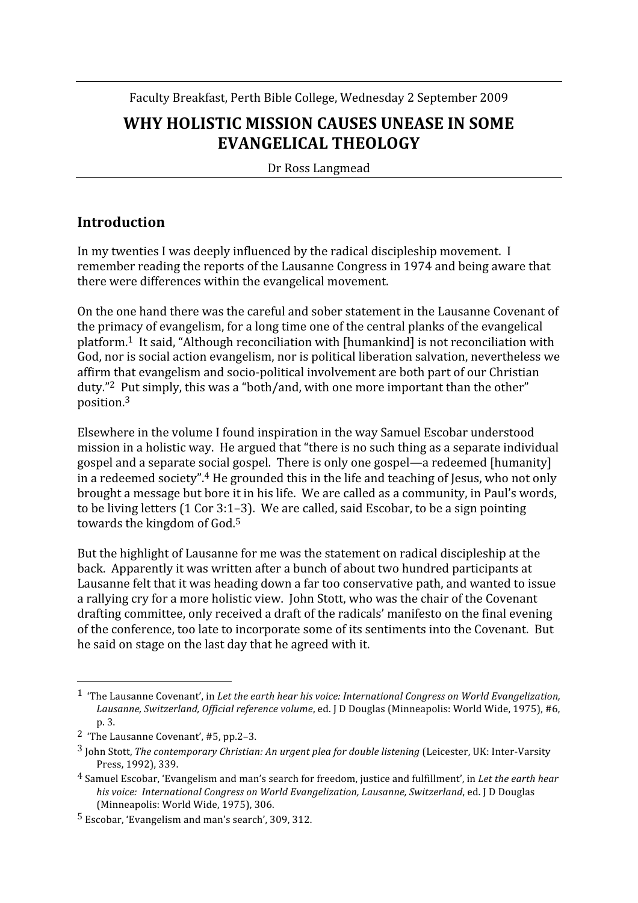Faculty
Breakfast,
Perth
Bible
College,
Wednesday
2
September
2009

# WHY HOLISTIC MISSION CAUSES UNEASE IN SOME **EVANGELICAL
THEOLOGY**

Dr
Ross
Langmead

### **Introduction**

In my twenties I was deeply influenced by the radical discipleship movement. I remember reading the reports of the Lausanne Congress in 1974 and being aware that there
were
differences
within
the
evangelical
movement.

On
the
one
hand
there
was
the
careful
and
sober
statement
in
the
Lausanne
Covenant
of the primacy of evangelism, for a long time one of the central planks of the evangelical platform.1

It
said,
"Although
reconciliation
with
[humankind]
is
not
reconciliation
with God, nor is social action evangelism, nor is political liberation salvation, nevertheless we affirm
that
evangelism
and
socio‐political
involvement
are
both
part
of
our
Christian duty."<sup>2</sup> Put simply, this was a "both/and, with one more important than the other" position.3

Elsewhere
in
the
volume
I
found
inspiration
in
the
way
Samuel
Escobar
understood mission
in
a
holistic
way.

He
argued
that
"there
is
no
such
thing
as
a
separate
individual gospel
and
a
separate
social
gospel.

There
is
only
one
gospel—a
redeemed
[humanity] in a redeemed society".<sup>4</sup> He grounded this in the life and teaching of Jesus, who not only brought
a
message
but
bore
it
in
his
life.

We
are
called
as
a
community,
in
Paul's
words, to be living letters (1 Cor 3:1–3). We are called, said Escobar, to be a sign pointing towards the kingdom of God.<sup>5</sup>

But the highlight of Lausanne for me was the statement on radical discipleship at the back.

Apparently
it
was
written
after
a
bunch
of
about
two
hundred
participants
at Lausanne felt that it was heading down a far too conservative path, and wanted to issue a rallying cry for a more holistic view. John Stott, who was the chair of the Covenant drafting
committee,
only
received
a
draft
of
the
radicals'
manifesto
on
the
final
evening of
the
conference,
too
late
to
incorporate
some
of
its
sentiments
into
the
Covenant.

But he
said
on
stage
on
the
last
day
that
he
agreed
with
it.

<sup>&</sup>lt;sup>1</sup> The Lausanne Covenant', in Let the earth hear his voice: International Congress on World Evangelization, Lausanne, Switzerland, Official reference volume, ed. [D Douglas (Minneapolis: World Wide, 1975), #6, p.
3.

<sup>2</sup> 'The
Lausanne
Covenant',
#5,
pp.2–3.

<sup>&</sup>lt;sup>3</sup> John Stott, The contemporary Christian: An urgent plea for double listening (Leicester, UK: Inter-Varsity Press,
1992),
339.

<sup>4</sup> Samuel
Escobar,
'Evangelism
and
man's
search
for
freedom,
justice
and
fulfillment',
in *Let
the
earth
hear*  his voice: International Congress on World Evangelization, Lausanne, Switzerland, ed. *J* D Douglas (Minneapolis:
World
Wide,
1975),
306.

<sup>5</sup> Escobar,
'Evangelism
and
man's
search',
309,
312.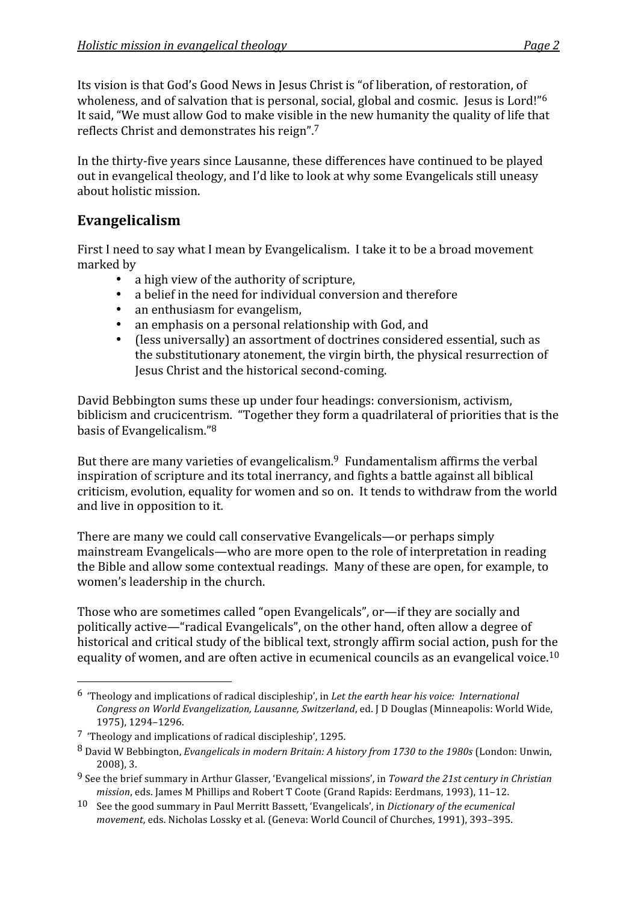Its vision is that God's Good News in Jesus Christ is "of liberation, of restoration, of wholeness, and of salvation that is personal, social, global and cosmic. Jesus is Lord!"<sup>6</sup> It said, "We must allow God to make visible in the new humanity the quality of life that reflects
Christ
and
demonstrates
his
reign".7

In the thirty-five years since Lausanne, these differences have continued to be played out in evangelical theology, and I'd like to look at why some Evangelicals still uneasy about
holistic
mission.

## **Evangelicalism**

First I need to say what I mean by Evangelicalism. I take it to be a broad movement marked
by

- a high view of the authority of scripture,
- a belief in the need for individual conversion and therefore
- an enthusiasm for evangelism,
- an emphasis on a personal relationship with God, and
- (less universally) an assortment of doctrines considered essential, such as the
substitutionary
atonement,
the
virgin
birth,
the
physical
resurrection
of Jesus
Christ
and
the
historical
second‐coming.

David
Bebbington
sums
these
up
under
four
headings:
conversionism,
activism, biblicism and crucicentrism. "Together they form a quadrilateral of priorities that is the basis
of
Evangelicalism."8

But there are many varieties of evangelicalism.<sup>9</sup> Fundamentalism affirms the verbal inspiration
of
scripture
and
its
total
inerrancy,
and
fights
a
battle
against
all
biblical criticism,
evolution,
equality
for
women
and
so
on.

It
tends
to
withdraw
from
the
world and
live
in
opposition
to
it.

There
are
many
we
could
call
conservative
Evangelicals—or
perhaps
simply mainstream
Evangelicals—who
are
more
open
to
the
role
of
interpretation
in
reading the
Bible
and
allow
some
contextual
readings.

Many
of
these
are
open,
for
example,
to women's
leadership
in
the
church.

Those
who
are
sometimes
called
"open
Evangelicals",
or—if
they
are
socially
and politically
active—"radical
Evangelicals",
on
the
other
hand,
often
allow
a
degree
of historical and critical study of the biblical text, strongly affirm social action, push for the equality of women, and are often active in ecumenical councils as an evangelical voice.<sup>10</sup>

<sup>&</sup>lt;sup>6</sup> Theology and implications of radical discipleship', in Let the earth hear his voice: International Congress on World Evangelization, Lausanne, Switzerland, ed. J D Douglas (Minneapolis: World Wide, 1975),
1294–1296.

<sup>7</sup> 'Theology
and
implications
of
radical
discipleship',
1295.

<sup>8</sup> David
W
Bebbington, *Evangelicals
in
modern
Britain:
A
history
from
1730
to
the
1980s*(London:
Unwin, 2008),
3.

<sup>&</sup>lt;sup>9</sup> See the brief summary in Arthur Glasser, 'Evangelical missions', in *Toward the 21st century in Christian* mission, eds. James M Phillips and Robert T Coote (Grand Rapids: Eerdmans, 1993), 11-12.

<sup>10</sup> See
the
good
summary
in
Paul
Merritt
Bassett,
'Evangelicals',
in *Dictionary
of
the
ecumenical*  movement, eds. Nicholas Lossky et al. (Geneva: World Council of Churches, 1991), 393-395.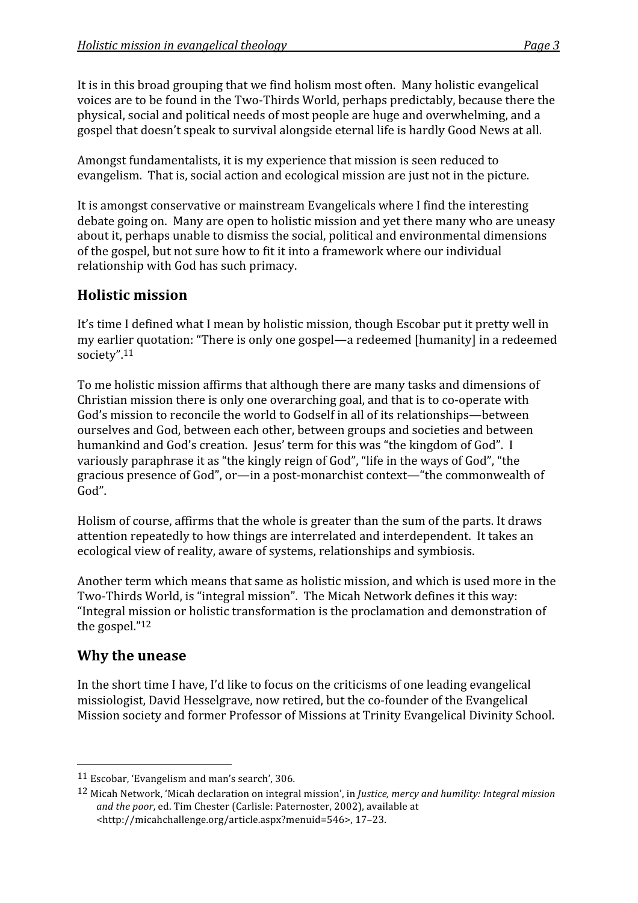It is in this broad grouping that we find holism most often. Many holistic evangelical voices are to be found in the Two-Thirds World, perhaps predictably, because there the physical,
social
and
political
needs
of
most
people
are
huge
and
overwhelming,
and
a gospel
that
doesn't
speak
to
survival
alongside
eternal
life
is
hardly
Good
News
at
all.

Amongst
fundamentalists,
it
is
my
experience
that
mission
is
seen
reduced
to evangelism.

That
is,
social
action
and
ecological
mission
are
just
not
in
the
picture.

It is amongst conservative or mainstream Evangelicals where I find the interesting debate
going
on.

Many
are
open
to
holistic
mission
and
yet
there
many
who
are
uneasy about
it,
perhaps
unable
to
dismiss
the
social,
political
and
environmental
dimensions of
the
gospel,
but
not
sure
how
to
fit
it
into
a
framework
where
our
individual relationship
with
God
has
such
primacy.

### **Holistic
mission**

It's time I defined what I mean by holistic mission, though Escobar put it pretty well in my
earlier
quotation:
"There
is
only
one
gospel—a
redeemed
[humanity]
in
a
redeemed society".11

To
me
holistic
mission
affirms
that
although
there
are
many
tasks
and
dimensions
of Christian mission there is only one overarching goal, and that is to co-operate with God's mission to reconcile the world to Godself in all of its relationships—between ourselves
and
God,
between
each
other,
between
groups
and
societies
and
between humankind and God's creation. Jesus' term for this was "the kingdom of God". I variously paraphrase it as "the kingly reign of God", "life in the ways of God", "the gracious
presence
of
God",
or—in
a
post‐monarchist
context—"the
commonwealth
of God".

Holism of course, affirms that the whole is greater than the sum of the parts. It draws attention repeatedly to how things are interrelated and interdependent. It takes an ecological
view
of
reality,
aware
of
systems,
relationships
and
symbiosis.

Another
term
which
means
that
same
as
holistic
mission,
and
which
is
used
more
in
the Two-Thirds World, is "integral mission". The Micah Network defines it this way: "Integral
mission
or
holistic
transformation
is
the
proclamation
and
demonstration
of the
gospel."12

#### **Why
the
unease**

In the short time I have, I'd like to focus on the criticisms of one leading evangelical missiologist,
David
Hesselgrave,
now
retired,
but
the
co‐founder
of
the
Evangelical Mission
society
and
former
Professor
of
Missions
at
Trinity
Evangelical
Divinity
School.

<sup>11</sup> Escobar,
'Evangelism
and
man's
search',
306.

<sup>12</sup> Micah
Network,
'Micah
declaration
on
integral
mission',
in *Justice,
mercy
and
humility:
Integral
mission*  and the poor, ed. Tim Chester (Carlisle: Paternoster, 2002), available at <http://micahchallenge.org/article.aspx?menuid=546>,
17–23.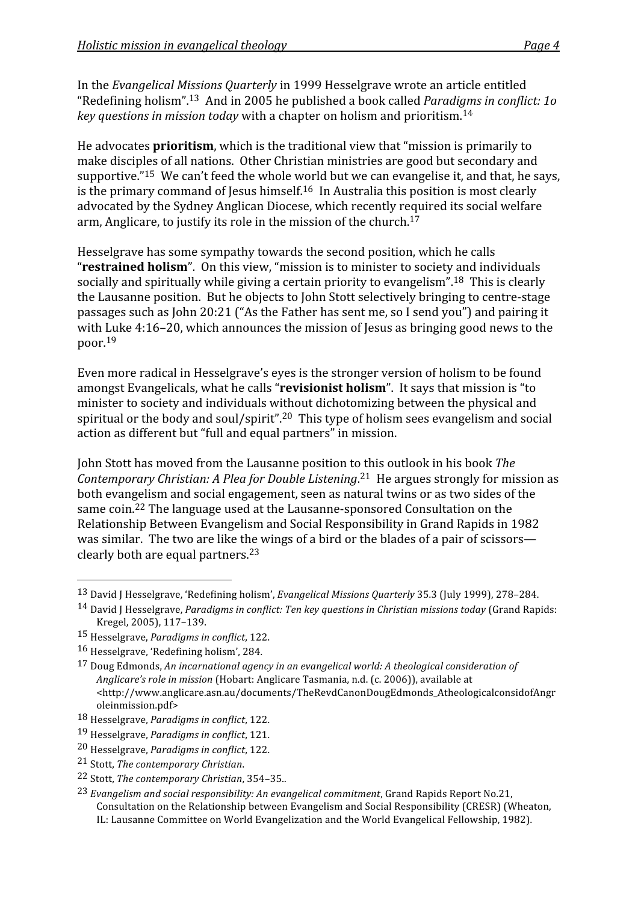In
the *Evangelical
Missions
Quarterly*in
1999
Hesselgrave
wrote
an
article
entitled "Redefining
holism".13

And
in
2005
he
published
a
book
called *Paradigms
in
conflict:
1o key
questions
in
mission
today*with
a
chapter
on
holism
and
prioritism.14

He advocates **prioritism**, which is the traditional view that "mission is primarily to make
disciples
of
all
nations.

Other
Christian
ministries
are
good
but
secondary
and supportive."<sup>15</sup> We can't feed the whole world but we can evangelise it, and that, he says, is the primary command of Jesus himself.<sup>16</sup> In Australia this position is most clearly advocated
by
the
Sydney
Anglican
Diocese,
which
recently
required
its
social
welfare arm,
Anglicare,
to
justify
its
role
in
the
mission
of
the
church.17

Hesselgrave
has
some
sympathy
towards
the
second
position,
which
he
calls "**restrained holism**". On this view, "mission is to minister to society and individuals socially and spiritually while giving a certain priority to evangelism".<sup>18</sup> This is clearly the Lausanne position. But he objects to John Stott selectively bringing to centre-stage passages
such
as
John
20:21
("As
the
Father
has
sent
me,
so
I
send
you")
and
pairing
it with Luke 4:16-20, which announces the mission of Jesus as bringing good news to the poor.19

Even
more
radical
in
Hesselgrave's
eyes
is
the
stronger
version
of
holism
to
be
found amongst Evangelicals, what he calls "**revisionist holism**". It says that mission is "to minister
to
society
and
individuals
without
dichotomizing
between
the
physical
and spiritual or the body and soul/spirit".<sup>20</sup> This type of holism sees evangelism and social action
as
different
but
"full
and
equal
partners"
in
mission.

John
Stott
has
moved
from
the
Lausanne
position
to
this
outlook
in
his
book *The*  Contemporary Christian: A Plea for Double Listening.<sup>21</sup> He argues strongly for mission as both
evangelism
and
social
engagement,
seen
as
natural
twins
or
as
two
sides
of
the same
coin.22
The
language
used
at
the
Lausanne‐sponsored
Consultation
on
the Relationship
Between
Evangelism
and
Social
Responsibility
in
Grand
Rapids
in
1982 was similar. The two are like the wings of a bird or the blades of a pair of scissors clearly
both
are
equal
partners.23

<sup>13</sup> David
J
Hesselgrave,
'Redefining
holism', *Evangelical
Missions
Quarterly*35.3
(July
1999),
278–284.

<sup>14</sup> David
J
Hesselgrave, *Paradigms
in
conflict:
Ten
key
questions
in
Christian
missions
today*(Grand
Rapids: Kregel,
2005),
117–139.

<sup>15</sup> Hesselgrave, *Paradigms
in
conflict*,
122.

<sup>16</sup> Hesselgrave,
'Redefining
holism',
284.

<sup>17</sup> Doug
Edmonds, *An
incarnational
agency
in
an
evangelical
world:
A
theological
consideration
of*  Anglicare's role in mission (Hobart: Anglicare Tasmania, n.d. (c. 2006)), available at <http://www.anglicare.asn.au/documents/TheRevdCanonDougEdmonds\_AtheologicalconsidofAngr oleinmission.pdf>

<sup>18</sup> Hesselgrave, *Paradigms
in
conflict*,
122.

<sup>19</sup> Hesselgrave, *Paradigms
in
conflict*,
121.

<sup>20</sup> Hesselgrave, *Paradigms
in
conflict*,
122.

<sup>21</sup> Stott, *The
contemporary
Christian*.

<sup>22</sup> Stott, *The
contemporary
Christian*,
354–35..

<sup>23</sup> *Evangelism
and
social
responsibility:
An
evangelical
commitment*,
Grand
Rapids
Report
No.21, Consultation on the Relationship between Evangelism and Social Responsibility (CRESR) (Wheaton, IL:
Lausanne
Committee
on
World
Evangelization
and
the
World
Evangelical
Fellowship,
1982).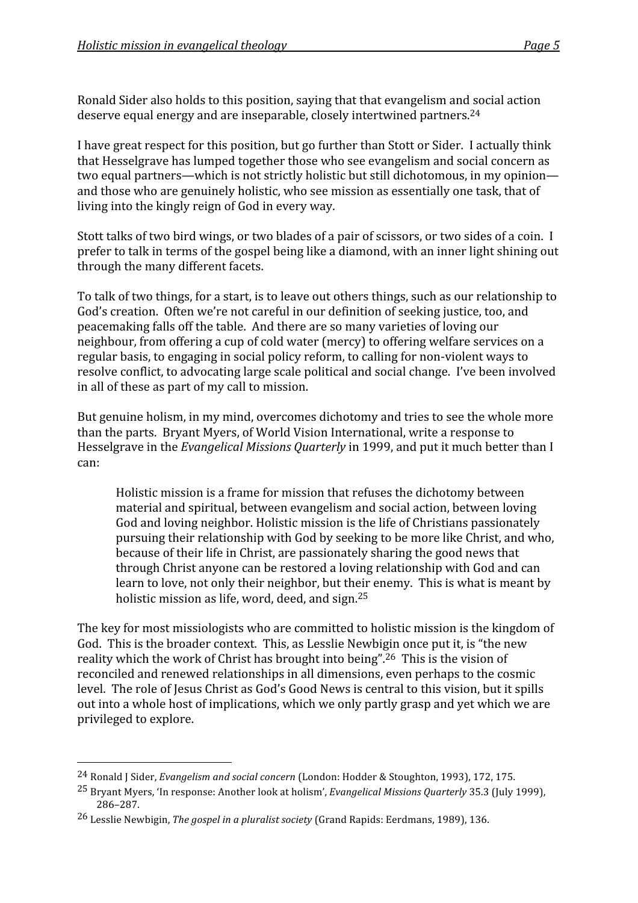Ronald Sider also holds to this position, saying that that evangelism and social action deserve
equal
energy
and
are
inseparable,
closely
intertwined
partners.24

I have great respect for this position, but go further than Stott or Sider. I actually think that
Hesselgrave
has
lumped
together
those
who
see
evangelism
and
social
concern
as two equal partners—which is not strictly holistic but still dichotomous, in my opinion and
those
who
are
genuinely
holistic,
who
see
mission
as
essentially
one
task,
that
of living into the kingly reign of God in every way.

Stott talks of two bird wings, or two blades of a pair of scissors, or two sides of a coin. I prefer
to
talk
in
terms
of
the
gospel
being
like
a
diamond,
with
an
inner
light
shining
out through
the
many
different
facets.

To talk of two things, for a start, is to leave out others things, such as our relationship to God's creation. Often we're not careful in our definition of seeking justice, too, and peacemaking
falls
off
the
table.

And
there
are
so
many
varieties
of
loving
our neighbour,
from
offering
a
cup
of
cold
water
(mercy)
to
offering
welfare
services
on
a regular
basis,
to
engaging
in
social
policy
reform,
to
calling
for
non‐violent
ways
to resolve
conflict,
to
advocating
large
scale
political
and
social
change.

I've
been
involved in
all
of
these
as
part
of
my
call
to
mission.

But genuine holism, in my mind, overcomes dichotomy and tries to see the whole more than
the
parts.

Bryant
Myers,
of
World
Vision
International,
write
a
response
to Hesselgrave in the *Evangelical Missions Quarterly* in 1999, and put it much better than I can:

Holistic
mission
is
a
frame
for
mission
that
refuses
the
dichotomy
between material
and
spiritual,
between
evangelism
and
social
action,
between
loving God and loving neighbor. Holistic mission is the life of Christians passionately pursuing
their
relationship
with
God
by
seeking
to
be
more
like
Christ,
and
who, because
of
their
life
in
Christ,
are
passionately
sharing
the
good
news
that through
Christ
anyone
can
be
restored
a
loving
relationship
with
God
and
can learn to love, not only their neighbor, but their enemy. This is what is meant by holistic mission as life, word, deed, and sign.<sup>25</sup>

The key for most missiologists who are committed to holistic mission is the kingdom of God. This is the broader context. This, as Lesslie Newbigin once put it, is "the new reality which the work of Christ has brought into being".<sup>26</sup> This is the vision of reconciled
and
renewed
relationships
in
all
dimensions,
even
perhaps
to
the
cosmic level. The role of Jesus Christ as God's Good News is central to this vision, but it spills out into a whole host of implications, which we only partly grasp and yet which we are privileged
to
explore.

<sup>&</sup>lt;sup>24</sup> Ronald J Sider, *Evangelism and social concern* (London: Hodder & Stoughton, 1993), 172, 175.

<sup>25</sup> Bryant
Myers,
'In
response:
Another
look
at
holism', *Evangelical
Missions
Quarterly*35.3
(July
1999), 286–287.

<sup>26</sup> Lesslie
Newbigin, *The
gospel
in
a
pluralist
society*(Grand
Rapids:
Eerdmans,
1989),
136.